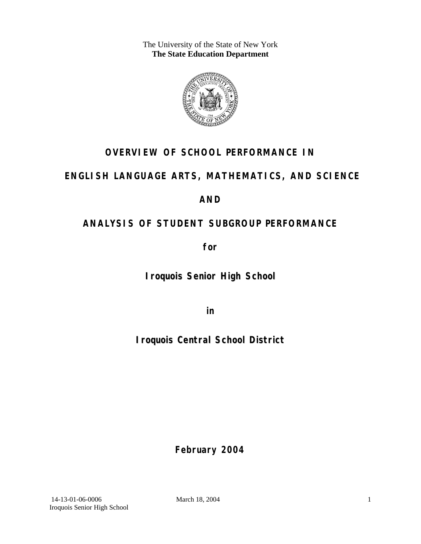The University of the State of New York **The State Education Department** 



# **OVERVIEW OF SCHOOL PERFORMANCE IN**

# **ENGLISH LANGUAGE ARTS, MATHEMATICS, AND SCIENCE**

# **AND**

# **ANALYSIS OF STUDENT SUBGROUP PERFORMANCE**

**for** 

**Iroquois Senior High School**

**in** 

**Iroquois Central School District**

**February 2004**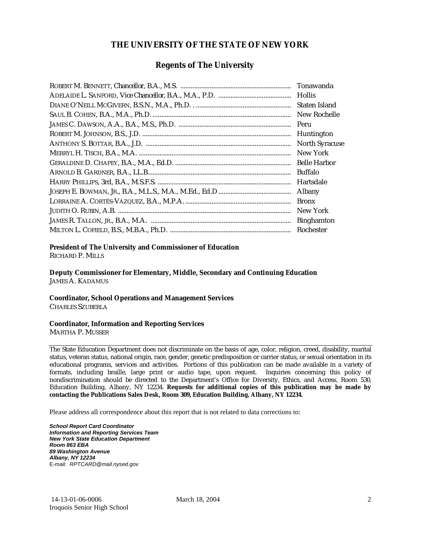### **THE UNIVERSITY OF THE STATE OF NEW YORK**

### **Regents of The University**

| Tonawanda             |
|-----------------------|
| <b>Hollis</b>         |
| Staten Island         |
| New Rochelle          |
| Peru                  |
| Huntington            |
| <b>North Syracuse</b> |
| New York              |
| <b>Belle Harbor</b>   |
| Buffalo               |
| Hartsdale             |
| Albany                |
| <b>Bronx</b>          |
| New York              |
| <b>Binghamton</b>     |
| Rochester             |

#### **President of The University and Commissioner of Education**

RICHARD P. MILLS

**Deputy Commissioner for Elementary, Middle, Secondary and Continuing Education**  JAMES A. KADAMUS

#### **Coordinator, School Operations and Management Services**

CHARLES SZUBERLA

#### **Coordinator, Information and Reporting Services**

MARTHA P. MUSSER

The State Education Department does not discriminate on the basis of age, color, religion, creed, disability, marital status, veteran status, national origin, race, gender, genetic predisposition or carrier status, or sexual orientation in its educational programs, services and activities. Portions of this publication can be made available in a variety of formats, including braille, large print or audio tape, upon request. Inquiries concerning this policy of nondiscrimination should be directed to the Department's Office for Diversity, Ethics, and Access, Room 530, Education Building, Albany, NY 12234. **Requests for additional copies of this publication may be made by contacting the Publications Sales Desk, Room 309, Education Building, Albany, NY 12234.** 

Please address all correspondence about this report that is not related to data corrections to:

*School Report Card Coordinator Information and Reporting Services Team New York State Education Department Room 863 EBA 89 Washington Avenue Albany, NY 12234*  E-mail: *RPTCARD@mail.nysed.gov*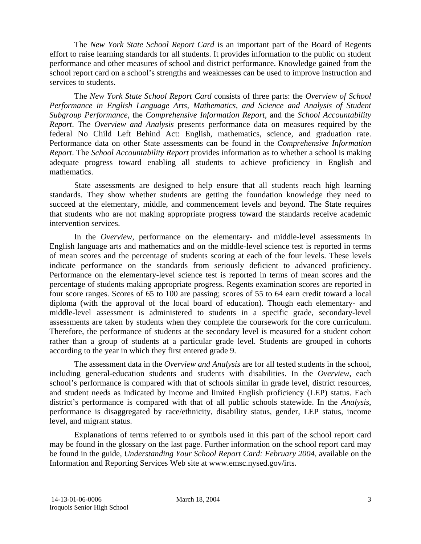The *New York State School Report Card* is an important part of the Board of Regents effort to raise learning standards for all students. It provides information to the public on student performance and other measures of school and district performance. Knowledge gained from the school report card on a school's strengths and weaknesses can be used to improve instruction and services to students.

The *New York State School Report Card* consists of three parts: the *Overview of School Performance in English Language Arts, Mathematics, and Science and Analysis of Student Subgroup Performance,* the *Comprehensive Information Report,* and the *School Accountability Report*. The *Overview and Analysis* presents performance data on measures required by the federal No Child Left Behind Act: English, mathematics, science, and graduation rate. Performance data on other State assessments can be found in the *Comprehensive Information Report*. The *School Accountability Report* provides information as to whether a school is making adequate progress toward enabling all students to achieve proficiency in English and mathematics.

State assessments are designed to help ensure that all students reach high learning standards. They show whether students are getting the foundation knowledge they need to succeed at the elementary, middle, and commencement levels and beyond. The State requires that students who are not making appropriate progress toward the standards receive academic intervention services.

In the *Overview*, performance on the elementary- and middle-level assessments in English language arts and mathematics and on the middle-level science test is reported in terms of mean scores and the percentage of students scoring at each of the four levels. These levels indicate performance on the standards from seriously deficient to advanced proficiency. Performance on the elementary-level science test is reported in terms of mean scores and the percentage of students making appropriate progress. Regents examination scores are reported in four score ranges. Scores of 65 to 100 are passing; scores of 55 to 64 earn credit toward a local diploma (with the approval of the local board of education). Though each elementary- and middle-level assessment is administered to students in a specific grade, secondary-level assessments are taken by students when they complete the coursework for the core curriculum. Therefore, the performance of students at the secondary level is measured for a student cohort rather than a group of students at a particular grade level. Students are grouped in cohorts according to the year in which they first entered grade 9.

The assessment data in the *Overview and Analysis* are for all tested students in the school, including general-education students and students with disabilities. In the *Overview*, each school's performance is compared with that of schools similar in grade level, district resources, and student needs as indicated by income and limited English proficiency (LEP) status. Each district's performance is compared with that of all public schools statewide. In the *Analysis*, performance is disaggregated by race/ethnicity, disability status, gender, LEP status, income level, and migrant status.

Explanations of terms referred to or symbols used in this part of the school report card may be found in the glossary on the last page. Further information on the school report card may be found in the guide, *Understanding Your School Report Card: February 2004*, available on the Information and Reporting Services Web site at www.emsc.nysed.gov/irts.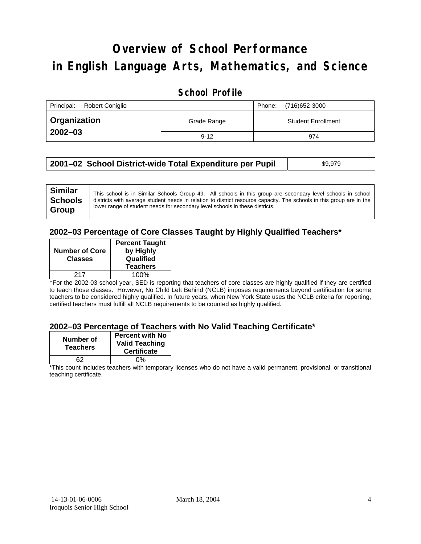# **Overview of School Performance in English Language Arts, Mathematics, and Science**

### **School Profile**

| Principal:<br>Robert Coniglio | (716) 652-3000<br>Phone: |                           |
|-------------------------------|--------------------------|---------------------------|
| <b>Organization</b>           | Grade Range              | <b>Student Enrollment</b> |
| $2002 - 03$                   | $9 - 12$                 | 974                       |

| 2001–02 School District-wide Total Expenditure per Pupil | \$9,979 |
|----------------------------------------------------------|---------|
|----------------------------------------------------------|---------|

### **2002–03 Percentage of Core Classes Taught by Highly Qualified Teachers\***

|                       | <b>Percent Taught</b> |
|-----------------------|-----------------------|
| <b>Number of Core</b> | by Highly             |
| <b>Classes</b>        | Qualified             |
|                       | <b>Teachers</b>       |
| 217                   | 100%                  |
|                       |                       |

\*For the 2002-03 school year, SED is reporting that teachers of core classes are highly qualified if they are certified to teach those classes. However, No Child Left Behind (NCLB) imposes requirements beyond certification for some teachers to be considered highly qualified. In future years, when New York State uses the NCLB criteria for reporting, certified teachers must fulfill all NCLB requirements to be counted as highly qualified.

#### **2002–03 Percentage of Teachers with No Valid Teaching Certificate\***

| Number of<br><b>Teachers</b> | <b>Percent with No</b><br><b>Valid Teaching</b><br><b>Certificate</b> |
|------------------------------|-----------------------------------------------------------------------|
| 62                           | ሰ%                                                                    |

\*This count includes teachers with temporary licenses who do not have a valid permanent, provisional, or transitional teaching certificate.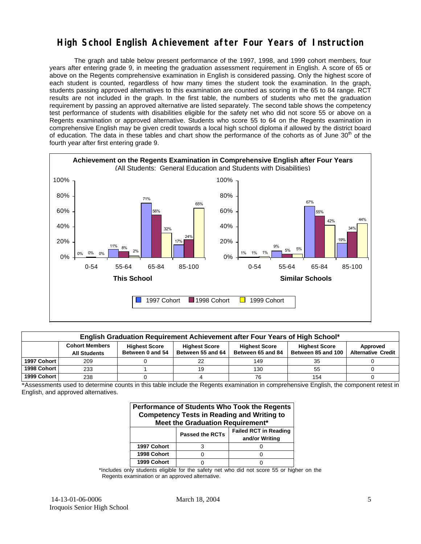### **High School English Achievement after Four Years of Instruction**

The graph and table below present performance of the 1997, 1998, and 1999 cohort members, four years after entering grade 9, in meeting the graduation assessment requirement in English. A score of 65 or above on the Regents comprehensive examination in English is considered passing. Only the highest score of each student is counted, regardless of how many times the student took the examination. In the graph, students passing approved alternatives to this examination are counted as scoring in the 65 to 84 range. RCT results are not included in the graph. In the first table, the numbers of students who met the graduation requirement by passing an approved alternative are listed separately. The second table shows the competency test performance of students with disabilities eligible for the safety net who did not score 55 or above on a Regents examination or approved alternative. Students who score 55 to 64 on the Regents examination in comprehensive English may be given credit towards a local high school diploma if allowed by the district board of education. The data in these tables and chart show the performance of the cohorts as of June  $30<sup>th</sup>$  of the fourth year after first entering grade 9.



| English Graduation Requirement Achievement after Four Years of High School* |                                                                                                                                                                                                                                                                           |  |    |     |     |  |  |  |  |
|-----------------------------------------------------------------------------|---------------------------------------------------------------------------------------------------------------------------------------------------------------------------------------------------------------------------------------------------------------------------|--|----|-----|-----|--|--|--|--|
|                                                                             | <b>Cohort Members</b><br><b>Highest Score</b><br><b>Highest Score</b><br><b>Highest Score</b><br><b>Highest Score</b><br>Approved<br>Between 55 and 64<br>Between 85 and 100<br>Between 0 and 54<br>Between 65 and 84<br><b>Alternative Credit</b><br><b>All Students</b> |  |    |     |     |  |  |  |  |
| 1997 Cohort                                                                 | 209                                                                                                                                                                                                                                                                       |  | 22 | 149 | 35  |  |  |  |  |
| 1998 Cohort                                                                 | 233                                                                                                                                                                                                                                                                       |  | 19 | 130 | 55  |  |  |  |  |
| 1999 Cohort                                                                 | 238                                                                                                                                                                                                                                                                       |  |    | 76  | 154 |  |  |  |  |

\*Assessments used to determine counts in this table include the Regents examination in comprehensive English, the component retest in English, and approved alternatives.

| Performance of Students Who Took the Regents<br><b>Competency Tests in Reading and Writing to</b><br>Meet the Graduation Requirement* |                        |                                                |  |  |  |  |  |
|---------------------------------------------------------------------------------------------------------------------------------------|------------------------|------------------------------------------------|--|--|--|--|--|
|                                                                                                                                       | <b>Passed the RCTs</b> | <b>Failed RCT in Reading</b><br>and/or Writing |  |  |  |  |  |
| 1997 Cohort                                                                                                                           |                        |                                                |  |  |  |  |  |
| 1998 Cohort                                                                                                                           |                        |                                                |  |  |  |  |  |
| 1999 Cohort                                                                                                                           |                        |                                                |  |  |  |  |  |

\*Includes only students eligible for the safety net who did not score 55 or higher on the Regents examination or an approved alternative.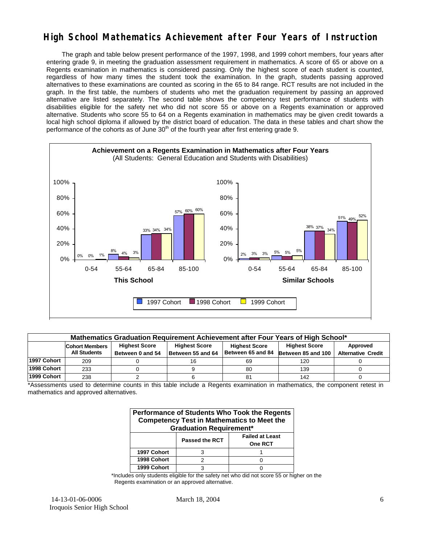## **High School Mathematics Achievement after Four Years of Instruction**

The graph and table below present performance of the 1997, 1998, and 1999 cohort members, four years after entering grade 9, in meeting the graduation assessment requirement in mathematics. A score of 65 or above on a Regents examination in mathematics is considered passing. Only the highest score of each student is counted, regardless of how many times the student took the examination. In the graph, students passing approved alternatives to these examinations are counted as scoring in the 65 to 84 range. RCT results are not included in the graph. In the first table, the numbers of students who met the graduation requirement by passing an approved alternative are listed separately. The second table shows the competency test performance of students with disabilities eligible for the safety net who did not score 55 or above on a Regents examination or approved alternative. Students who score 55 to 64 on a Regents examination in mathematics may be given credit towards a local high school diploma if allowed by the district board of education. The data in these tables and chart show the performance of the cohorts as of June  $30<sup>th</sup>$  of the fourth year after first entering grade 9.



| Mathematics Graduation Requirement Achievement after Four Years of High School* |                                                                                                                                   |                  |                   |                   |                    |                           |  |  |  |
|---------------------------------------------------------------------------------|-----------------------------------------------------------------------------------------------------------------------------------|------------------|-------------------|-------------------|--------------------|---------------------------|--|--|--|
|                                                                                 | <b>Highest Score</b><br><b>Highest Score</b><br><b>Highest Score</b><br>Approved<br><b>Cohort Members</b><br><b>Highest Score</b> |                  |                   |                   |                    |                           |  |  |  |
|                                                                                 | <b>All Students</b>                                                                                                               | Between 0 and 54 | Between 55 and 64 | Between 65 and 84 | Between 85 and 100 | <b>Alternative Credit</b> |  |  |  |
| 1997 Cohort                                                                     | 209                                                                                                                               |                  | 16                | 69                | 120                |                           |  |  |  |
| 1998 Cohort                                                                     | 233                                                                                                                               |                  |                   | 80                | 139                |                           |  |  |  |
| 1999 Cohort                                                                     | 238                                                                                                                               |                  |                   | 81                | 142                |                           |  |  |  |

\*Assessments used to determine counts in this table include a Regents examination in mathematics, the component retest in mathematics and approved alternatives.

| <b>Performance of Students Who Took the Regents</b><br><b>Competency Test in Mathematics to Meet the</b><br><b>Graduation Requirement*</b> |  |  |  |  |  |  |
|--------------------------------------------------------------------------------------------------------------------------------------------|--|--|--|--|--|--|
| <b>Failed at Least</b><br><b>Passed the RCT</b><br>One RCT                                                                                 |  |  |  |  |  |  |
| 1997 Cohort                                                                                                                                |  |  |  |  |  |  |
| 1998 Cohort                                                                                                                                |  |  |  |  |  |  |
| 1999 Cohort                                                                                                                                |  |  |  |  |  |  |

\*Includes only students eligible for the safety net who did not score 55 or higher on the Regents examination or an approved alternative.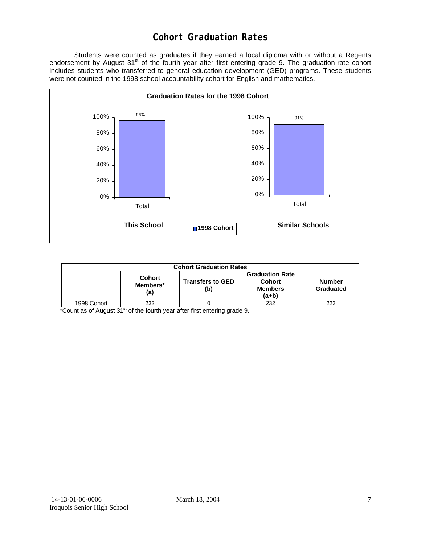## **Cohort Graduation Rates**

 Students were counted as graduates if they earned a local diploma with or without a Regents endorsement by August 31<sup>st</sup> of the fourth year after first entering grade 9. The graduation-rate cohort includes students who transferred to general education development (GED) programs. These students were not counted in the 1998 school accountability cohort for English and mathematics.



| <b>Cohort Graduation Rates</b>                                                                                                                                         |     |  |     |     |  |  |
|------------------------------------------------------------------------------------------------------------------------------------------------------------------------|-----|--|-----|-----|--|--|
| <b>Graduation Rate</b><br><b>Cohort</b><br><b>Cohort</b><br><b>Transfers to GED</b><br><b>Number</b><br>Members*<br>Graduated<br><b>Members</b><br>(b)<br>(a)<br>(a+b) |     |  |     |     |  |  |
| 1998 Cohort                                                                                                                                                            | 232 |  | 232 | 223 |  |  |

\*Count as of August 31<sup>st</sup> of the fourth year after first entering grade 9.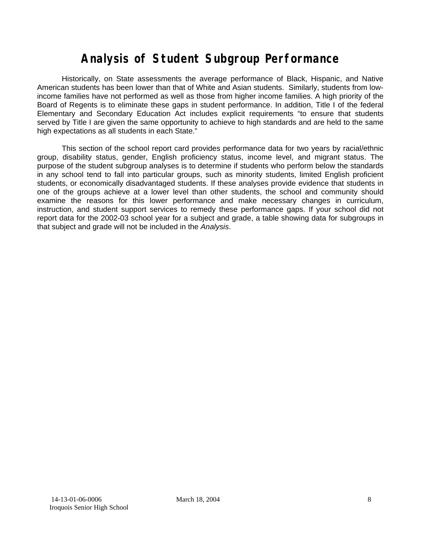# **Analysis of Student Subgroup Performance**

Historically, on State assessments the average performance of Black, Hispanic, and Native American students has been lower than that of White and Asian students. Similarly, students from lowincome families have not performed as well as those from higher income families. A high priority of the Board of Regents is to eliminate these gaps in student performance. In addition, Title I of the federal Elementary and Secondary Education Act includes explicit requirements "to ensure that students served by Title I are given the same opportunity to achieve to high standards and are held to the same high expectations as all students in each State."

This section of the school report card provides performance data for two years by racial/ethnic group, disability status, gender, English proficiency status, income level, and migrant status. The purpose of the student subgroup analyses is to determine if students who perform below the standards in any school tend to fall into particular groups, such as minority students, limited English proficient students, or economically disadvantaged students. If these analyses provide evidence that students in one of the groups achieve at a lower level than other students, the school and community should examine the reasons for this lower performance and make necessary changes in curriculum, instruction, and student support services to remedy these performance gaps. If your school did not report data for the 2002-03 school year for a subject and grade, a table showing data for subgroups in that subject and grade will not be included in the *Analysis*.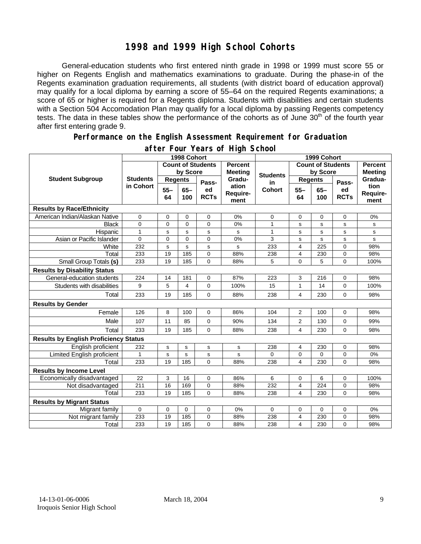### **1998 and 1999 High School Cohorts**

General-education students who first entered ninth grade in 1998 or 1999 must score 55 or higher on Regents English and mathematics examinations to graduate. During the phase-in of the Regents examination graduation requirements, all students (with district board of education approval) may qualify for a local diploma by earning a score of 55–64 on the required Regents examinations; a score of 65 or higher is required for a Regents diploma. Students with disabilities and certain students with a Section 504 Accomodation Plan may qualify for a local diploma by passing Regents competency tests. The data in these tables show the performance of the cohorts as of June 30<sup>th</sup> of the fourth year after first entering grade 9.

#### **Performance on the English Assessment Requirement for Graduation**

|                                              | 1998 Cohort     |                            |               |                   |                           | 1999 Cohort  |                                  |               |                   |                          |
|----------------------------------------------|-----------------|----------------------------|---------------|-------------------|---------------------------|--------------|----------------------------------|---------------|-------------------|--------------------------|
|                                              |                 | <b>Count of Students</b>   |               | <b>Percent</b>    | <b>Count of Students</b>  |              | <b>Percent</b><br><b>Meeting</b> |               |                   |                          |
| <b>Student Subgroup</b>                      |                 | by Score<br><b>Meeting</b> |               | <b>Students</b>   | by Score                  |              |                                  |               |                   |                          |
|                                              | <b>Students</b> | <b>Regents</b>             |               | Pass-             | Gradu-                    | in<br>Cohort | <b>Regents</b>                   |               | Pass-             | Gradua-                  |
|                                              | in Cohort       | $55 -$<br>64               | $65 -$<br>100 | ed<br><b>RCTs</b> | ation<br>Require-<br>ment |              | $55 -$<br>64                     | $65 -$<br>100 | ed<br><b>RCTs</b> | tion<br>Require-<br>ment |
| <b>Results by Race/Ethnicity</b>             |                 |                            |               |                   |                           |              |                                  |               |                   |                          |
| American Indian/Alaskan Native               | 0               | 0                          | 0             | $\mathbf 0$       | 0%                        | 0            | 0                                | 0             | 0                 | 0%                       |
| <b>Black</b>                                 | 0               | 0                          | 0             | $\Omega$          | 0%                        | 1            | s                                | s             | s                 | s                        |
| Hispanic                                     | $\mathbf{1}$    | s                          | s             | s                 | s                         | $\mathbf{1}$ | $\mathbf s$                      | s             | s                 | s                        |
| Asian or Pacific Islander                    | $\Omega$        | 0                          | $\Omega$      | $\Omega$          | 0%                        | 3            | s                                | s             | s                 | s                        |
| White                                        | 232             | s                          | s             | $\mathbf s$       | s                         | 233          | $\overline{4}$                   | 225           | $\mathbf 0$       | 98%                      |
| Total                                        | 233             | 19                         | 185           | 0                 | 88%                       | 238          | 4                                | 230           | 0                 | 98%                      |
| Small Group Totals (s)                       | 233             | 19                         | 185           | $\Omega$          | 88%                       | 5            | $\overline{0}$                   | 5             | $\Omega$          | 100%                     |
| <b>Results by Disability Status</b>          |                 |                            |               |                   |                           |              |                                  |               |                   |                          |
| General-education students                   | 224             | 14                         | 181           | 0                 | 87%                       | 223          | 3                                | 216           | 0                 | 98%                      |
| Students with disabilities                   | 9               | 5                          | 4             | 0                 | 100%                      | 15           | $\mathbf{1}$                     | 14            | $\mathbf 0$       | 100%                     |
| Total                                        | 233             | 19                         | 185           | $\mathbf 0$       | 88%                       | 238          | $\overline{4}$                   | 230           | $\mathbf 0$       | 98%                      |
| <b>Results by Gender</b>                     |                 |                            |               |                   |                           |              |                                  |               |                   |                          |
| Female                                       | 126             | 8                          | 100           | $\Omega$          | 86%                       | 104          | 2                                | 100           | $\Omega$          | 98%                      |
| Male                                         | 107             | 11                         | 85            | 0                 | 90%                       | 134          | $\overline{2}$                   | 130           | 0                 | 99%                      |
| Total                                        | 233             | 19                         | 185           | 0                 | 88%                       | 238          | 4                                | 230           | 0                 | 98%                      |
| <b>Results by English Proficiency Status</b> |                 |                            |               |                   |                           |              |                                  |               |                   |                          |
| English proficient                           | 232             | s                          | s             | $\mathbf s$       | $\mathbf s$               | 238          | 4                                | 230           | 0                 | 98%                      |
| Limited English proficient                   | 1               | $\mathbf s$                | s             | s                 | s                         | $\Omega$     | $\mathbf 0$                      | 0             | $\mathbf 0$       | 0%                       |
| Total                                        | 233             | 19                         | 185           | $\Omega$          | 88%                       | 238          | $\overline{\mathbf{4}}$          | 230           | $\Omega$          | 98%                      |
| <b>Results by Income Level</b>               |                 |                            |               |                   |                           |              |                                  |               |                   |                          |
| Economically disadvantaged                   | 22              | 3                          | 16            | $\mathbf 0$       | 86%                       | 6            | 0                                | 6             | $\mathbf 0$       | 100%                     |
| Not disadvantaged                            | 211             | 16                         | 169           | $\mathbf 0$       | 88%                       | 232          | 4                                | 224           | 0                 | 98%                      |
| Total                                        | 233             | 19                         | 185           | $\Omega$          | 88%                       | 238          | $\overline{\mathbf{4}}$          | 230           | 0                 | 98%                      |
| <b>Results by Migrant Status</b>             |                 |                            |               |                   |                           |              |                                  |               |                   |                          |
| Migrant family                               | $\mathbf 0$     | 0                          | 0             | $\mathbf 0$       | 0%                        | 0            | 0                                | 0             | $\mathbf 0$       | 0%                       |
| Not migrant family                           | 233             | 19                         | 185           | $\mathbf 0$       | 88%                       | 238          | 4                                | 230           | $\mathbf 0$       | 98%                      |
| Total                                        | 233             | 19                         | 185           | $\mathbf 0$       | 88%                       | 238          | 4                                | 230           | 0                 | 98%                      |

### **after Four Years of High School**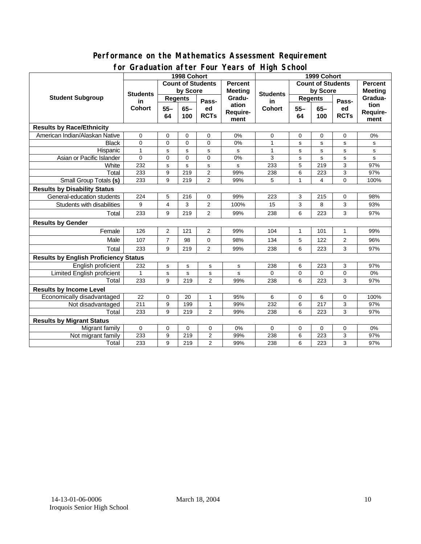### **Performance on the Mathematics Assessment Requirement for Graduation after Four Years of High School**

|                                              | <u><b>Siddaction artor roar roars or right conco</b></u><br>1998 Cohort |                          |             |                |                | 1999 Cohort              |                |             |                |                |  |  |
|----------------------------------------------|-------------------------------------------------------------------------|--------------------------|-------------|----------------|----------------|--------------------------|----------------|-------------|----------------|----------------|--|--|
| <b>Student Subgroup</b>                      |                                                                         | <b>Count of Students</b> |             |                | <b>Percent</b> | <b>Count of Students</b> |                |             |                | <b>Percent</b> |  |  |
|                                              | <b>Students</b><br>in<br><b>Cohort</b>                                  | by Score                 |             |                | <b>Meeting</b> |                          | by Score       |             | <b>Meeting</b> |                |  |  |
|                                              |                                                                         | <b>Regents</b>           |             |                | Gradu-         | <b>Students</b><br>in    | <b>Regents</b> |             |                | Gradua-        |  |  |
|                                              |                                                                         | $55 -$                   | $65-$       | Pass-<br>ed    | ation          | <b>Cohort</b>            | $55 -$         | $65 -$      | Pass-<br>ed    | tion           |  |  |
|                                              |                                                                         | 64                       | 100         | <b>RCTs</b>    | Require-       |                          | 64             | 100         | <b>RCTs</b>    | Require-       |  |  |
|                                              |                                                                         |                          |             |                | ment           |                          |                |             |                | ment           |  |  |
| <b>Results by Race/Ethnicity</b>             |                                                                         |                          |             |                |                |                          |                |             |                |                |  |  |
| American Indian/Alaskan Native               | $\mathbf 0$                                                             | 0                        | 0           | 0              | 0%             | 0                        | 0              | 0           | 0              | 0%             |  |  |
| <b>Black</b>                                 | 0                                                                       | $\mathbf 0$              | $\Omega$    | $\Omega$       | 0%             | $\mathbf{1}$             | s              | s           | s              | s              |  |  |
| Hispanic                                     | $\mathbf{1}$                                                            | s                        | s           | s              | s              | 1                        | s              | $\mathbf s$ | s              | s              |  |  |
| Asian or Pacific Islander                    | $\Omega$                                                                | $\mathbf 0$              | $\mathbf 0$ | $\Omega$       | 0%             | 3                        | s              | $\sf s$     | s              | s              |  |  |
| White                                        | 232                                                                     | s                        | s           | $\mathbf s$    | s              | 233                      | 5              | 219         | 3              | 97%            |  |  |
| Total                                        | 233                                                                     | 9                        | 219         | $\overline{2}$ | 99%            | 238                      | 6              | 223         | 3              | 97%            |  |  |
| <b>Small Group Totals (s)</b>                | 233                                                                     | 9                        | 219         | $\overline{2}$ | 99%            | 5                        | 1              | 4           | $\overline{0}$ | 100%           |  |  |
| <b>Results by Disability Status</b>          |                                                                         |                          |             |                |                |                          |                |             |                |                |  |  |
| General-education students                   | 224                                                                     | 5                        | 216         | $\mathbf 0$    | 99%            | 223                      | 3              | 215         | 0              | 98%            |  |  |
| Students with disabilities                   | 9                                                                       | 4                        | 3           | $\overline{2}$ | 100%           | 15                       | 3              | 8           | 3              | 93%            |  |  |
| Total                                        | 233                                                                     | 9                        | 219         | $\overline{2}$ | 99%            | 238                      | 6              | 223         | 3              | 97%            |  |  |
| <b>Results by Gender</b>                     |                                                                         |                          |             |                |                |                          |                |             |                |                |  |  |
| Female                                       | 126                                                                     | $\overline{2}$           | 121         | $\overline{2}$ | 99%            | 104                      | $\mathbf{1}$   | 101         | $\mathbf{1}$   | 99%            |  |  |
| Male                                         | 107                                                                     | $\overline{7}$           | 98          | $\mathbf 0$    | 98%            | 134                      | 5              | 122         | $\overline{2}$ | 96%            |  |  |
| Total                                        | 233                                                                     | 9                        | 219         | 2              | 99%            | 238                      | 6              | 223         | 3              | 97%            |  |  |
| <b>Results by English Proficiency Status</b> |                                                                         |                          |             |                |                |                          |                |             |                |                |  |  |
| English proficient                           | 232                                                                     | s                        | $\mathbf S$ | s              | s              | 238                      | 6              | 223         | 3              | 97%            |  |  |
| Limited English proficient                   | $\mathbf{1}$                                                            | s                        | s           | s              | $\sf s$        | $\Omega$                 | $\mathbf 0$    | $\mathbf 0$ | 0              | 0%             |  |  |
| Total                                        | 233                                                                     | 9                        | 219         | $\overline{2}$ | 99%            | 238                      | 6              | 223         | 3              | 97%            |  |  |
| <b>Results by Income Level</b>               |                                                                         |                          |             |                |                |                          |                |             |                |                |  |  |
| Economically disadvantaged                   | 22                                                                      | 0                        | 20          | 1              | 95%            | 6                        | 0              | 6           | 0              | 100%           |  |  |
| Not disadvantaged                            | 211                                                                     | 9                        | 199         | 1              | 99%            | 232                      | 6              | 217         | 3              | 97%            |  |  |
| Total                                        | 233                                                                     | 9                        | 219         | $\overline{2}$ | 99%            | 238                      | 6              | 223         | 3              | 97%            |  |  |
| <b>Results by Migrant Status</b>             |                                                                         |                          |             |                |                |                          |                |             |                |                |  |  |
| Migrant family                               | 0                                                                       | 0                        | 0           | 0              | 0%             | 0                        | 0              | 0           | 0              | 0%             |  |  |
| Not migrant family                           | 233                                                                     | 9                        | 219         | $\overline{2}$ | 99%            | 238                      | 6              | 223         | 3              | 97%            |  |  |
| Total                                        | 233                                                                     | 9                        | 219         | $\overline{2}$ | 99%            | 238                      | 6              | 223         | 3              | 97%            |  |  |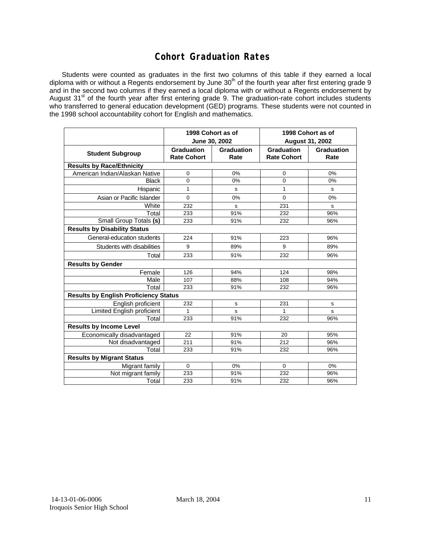### **Cohort Graduation Rates**

Students were counted as graduates in the first two columns of this table if they earned a local diploma with or without a Regents endorsement by June 30<sup>th</sup> of the fourth year after first entering grade 9 and in the second two columns if they earned a local diploma with or without a Regents endorsement by August 31<sup>st</sup> of the fourth year after first entering grade 9. The graduation-rate cohort includes students who transferred to general education development (GED) programs. These students were not counted in the 1998 school accountability cohort for English and mathematics.

|                                              |                                         | 1998 Cohort as of<br>June 30, 2002 | 1998 Cohort as of<br><b>August 31, 2002</b> |                           |  |  |  |  |  |  |
|----------------------------------------------|-----------------------------------------|------------------------------------|---------------------------------------------|---------------------------|--|--|--|--|--|--|
| <b>Student Subgroup</b>                      | <b>Graduation</b><br><b>Rate Cohort</b> | <b>Graduation</b><br>Rate          | <b>Graduation</b><br><b>Rate Cohort</b>     | <b>Graduation</b><br>Rate |  |  |  |  |  |  |
| <b>Results by Race/Ethnicity</b>             |                                         |                                    |                                             |                           |  |  |  |  |  |  |
| American Indian/Alaskan Native               | 0                                       | 0%                                 | 0                                           | 0%                        |  |  |  |  |  |  |
| <b>Black</b>                                 | $\overline{0}$                          | 0%                                 | 0                                           | 0%                        |  |  |  |  |  |  |
| Hispanic                                     | 1                                       | s                                  | 1                                           | s                         |  |  |  |  |  |  |
| Asian or Pacific Islander                    | $\mathbf 0$                             | 0%                                 | 0                                           | 0%                        |  |  |  |  |  |  |
| White                                        | 232                                     | s                                  | 231                                         | s                         |  |  |  |  |  |  |
| Total                                        | 233                                     | 91%                                | 232                                         | 96%                       |  |  |  |  |  |  |
| Small Group Totals (s)                       | 233                                     | 91%                                | 232                                         | 96%                       |  |  |  |  |  |  |
| <b>Results by Disability Status</b>          |                                         |                                    |                                             |                           |  |  |  |  |  |  |
| General-education students                   | 224                                     | 91%                                | 223                                         | 96%                       |  |  |  |  |  |  |
| Students with disabilities                   | 9                                       | 89%                                | 9                                           | 89%                       |  |  |  |  |  |  |
| Total                                        | 233                                     | 91%                                | 232                                         | 96%                       |  |  |  |  |  |  |
| <b>Results by Gender</b>                     |                                         |                                    |                                             |                           |  |  |  |  |  |  |
| Female                                       | 126                                     | 94%                                | 124                                         | 98%                       |  |  |  |  |  |  |
| Male                                         | 107                                     | 88%                                | 108                                         | 94%                       |  |  |  |  |  |  |
| Total                                        | 233                                     | 91%                                | 232                                         | 96%                       |  |  |  |  |  |  |
| <b>Results by English Proficiency Status</b> |                                         |                                    |                                             |                           |  |  |  |  |  |  |
| English proficient                           | 232                                     | s                                  | 231                                         | s                         |  |  |  |  |  |  |
| Limited English proficient                   | 1                                       | s                                  | 1                                           | s                         |  |  |  |  |  |  |
| Total                                        | 233                                     | 91%                                | 232                                         | 96%                       |  |  |  |  |  |  |
| <b>Results by Income Level</b>               |                                         |                                    |                                             |                           |  |  |  |  |  |  |
| Economically disadvantaged                   | 22                                      | 91%                                | 20                                          | 95%                       |  |  |  |  |  |  |
| Not disadvantaged                            | 211                                     | 91%                                | 212                                         | 96%                       |  |  |  |  |  |  |
| Total                                        | 233                                     | 91%                                | 232                                         | 96%                       |  |  |  |  |  |  |
| <b>Results by Migrant Status</b>             |                                         |                                    |                                             |                           |  |  |  |  |  |  |
| Migrant family                               | 0                                       | 0%                                 | $\Omega$                                    | 0%                        |  |  |  |  |  |  |
| Not migrant family                           | 233                                     | 91%                                | 232                                         | 96%                       |  |  |  |  |  |  |
| Total                                        | 233                                     | 91%                                | 232                                         | 96%                       |  |  |  |  |  |  |